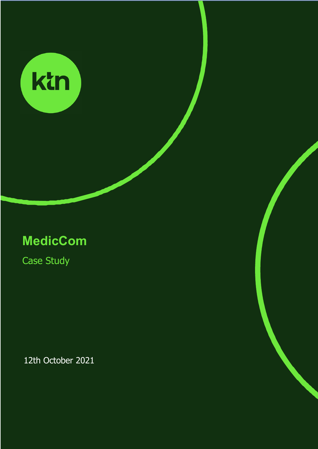

# **MedicCom**

Case Study

12th October 2021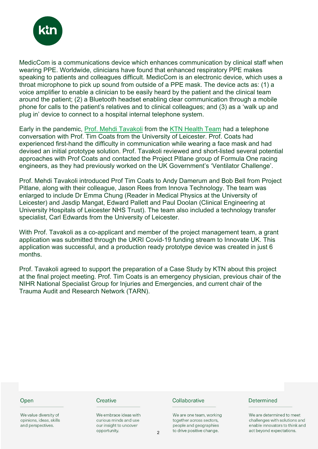

MedicCom is a communications device which enhances communication by clinical staff when wearing PPE. Worldwide, clinicians have found that enhanced respiratory PPE makes speaking to patients and colleagues difficult. MedicCom is an electronic device, which uses a throat microphone to pick up sound from outside of a PPE mask. The device acts as: (1) a voice amplifier to enable a clinician to be easily heard by the patient and the clinical team around the patient; (2) a Bluetooth headset enabling clear communication through a mobile phone for calls to the patient's relatives and to clinical colleagues; and (3) as a 'walk up and plug in' device to connect to a hospital internal telephone system.

Early in the pandemic, Prof. Mehdi Tavakoli from the KTN Health Team had a telephone conversation with Prof. Tim Coats from the University of Leicester. Prof. Coats had experienced first-hand the difficulty in communication while wearing a face mask and had devised an initial prototype solution. Prof. Tavakoli reviewed and short-listed several potential approaches with Prof Coats and contacted the Project Pitlane group of Formula One racing engineers, as they had previously worked on the UK Government's 'Ventilator Challenge'.

Prof. Mehdi Tavakoli introduced Prof Tim Coats to Andy Damerum and Bob Bell from Project Pitlane, along with their colleague, Jason Rees from Innova Technology. The team was enlarged to include Dr Emma Chung (Reader in Medical Physics at the University of Leicester) and Jasdip Mangat, Edward Pallett and Paul Doolan (Clinical Engineering at University Hospitals of Leicester NHS Trust). The team also included a technology transfer specialist, Carl Edwards from the University of Leicester.

With Prof. Tavakoli as a co-applicant and member of the project management team, a grant application was submitted through the UKRI Covid-19 funding stream to Innovate UK. This application was successful, and a production ready prototype device was created in just 6 months.

Prof. Tavakoli agreed to support the preparation of a Case Study by KTN about this project at the final project meeting. Prof. Tim Coats is an emergency physician, previous chair of the NIHR National Specialist Group for Injuries and Emergencies, and current chair of the Trauma Audit and Research Network (TARN).

#### Open

We value diversity of opinions, ideas, skills and perspectives.

#### Creative

We embrace ideas with curious minds and use our insight to uncover opportunity.

#### Collaborative

We are one team, working together across sectors, people and geographies to drive positive change.

#### Determined

We are determined to meet challenges with solutions and enable innovators to think and act beyond expectations.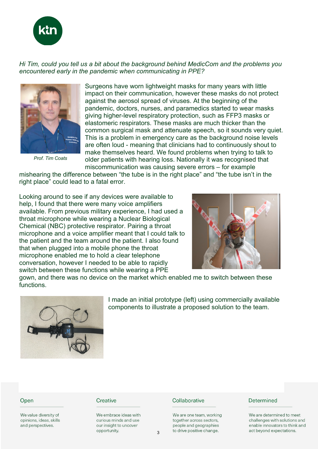

# *Hi Tim, could you tell us a bit about the background behind MedicCom and the problems you encountered early in the pandemic when communicating in PPE?*



*Prof. Tim Coats*

Surgeons have worn lightweight masks for many years with little impact on their communication, however these masks do not protect against the aerosol spread of viruses. At the beginning of the pandemic, doctors, nurses, and paramedics started to wear masks giving higher-level respiratory protection, such as FFP3 masks or elastomeric respirators. These masks are much thicker than the common surgical mask and attenuate speech, so it sounds very quiet. This is a problem in emergency care as the background noise levels are often loud - meaning that clinicians had to continuously shout to make themselves heard. We found problems when trying to talk to older patients with hearing loss. Nationally it was recognised that miscommunication was causing severe errors – for example

mishearing the difference between "the tube is in the right place" and "the tube isn't in the right place" could lead to a fatal error.

Looking around to see if any devices were available to help, I found that there were many voice amplifiers available. From previous military experience, I had used a throat microphone while wearing a Nuclear Biological Chemical (NBC) protective respirator. Pairing a throat microphone and a voice amplifier meant that I could talk to the patient and the team around the patient. I also found that when plugged into a mobile phone the throat microphone enabled me to hold a clear telephone conversation, however I needed to be able to rapidly switch between these functions while wearing a PPE



gown, and there was no device on the market which enabled me to switch between these functions.



I made an initial prototype (left) using commercially available components to illustrate a proposed solution to the team.

#### Open

We value diversity of opinions, ideas, skills and perspectives.

#### Creative

We embrace ideas with curious minds and use our insight to uncover opportunity.

#### Collaborative

We are one team, working together across sectors, people and geographies to drive positive change.

#### Determined

We are determined to meet challenges with solutions and enable innovators to think and act beyond expectations.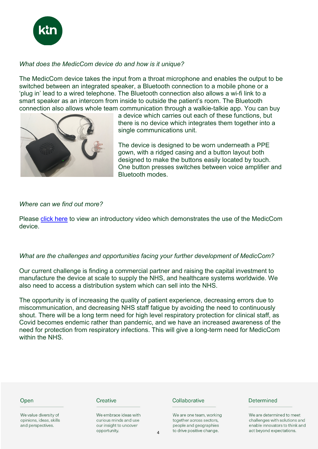

# *What does the MedicCom device do and how is it unique?*

The MedicCom device takes the input from a throat microphone and enables the output to be switched between an integrated speaker, a Bluetooth connection to a mobile phone or a 'plug in' lead to a wired telephone. The Bluetooth connection also allows a wi-fi link to a smart speaker as an intercom from inside to outside the patient's room. The Bluetooth connection also allows whole team communication through a walkie-talkie app. You can buy



a device which carries out each of these functions, but there is no device which integrates them together into a single communications unit.

The device is designed to be worn underneath a PPE gown, with a ridged casing and a button layout both designed to make the buttons easily located by touch. One button presses switches between voice amplifier and Bluetooth modes.

# *Where can we find out more?*

Please click here to view an introductory video which demonstrates the use of the MedicCom device.

# *What are the challenges and opportunities facing your further development of MedicCom?*

Our current challenge is finding a commercial partner and raising the capital investment to manufacture the device at scale to supply the NHS, and healthcare systems worldwide. We also need to access a distribution system which can sell into the NHS.

The opportunity is of increasing the quality of patient experience, decreasing errors due to miscommunication, and decreasing NHS staff fatigue by avoiding the need to continuously shout. There will be a long term need for high level respiratory protection for clinical staff, as Covid becomes endemic rather than pandemic, and we have an increased awareness of the need for protection from respiratory infections. This will give a long-term need for MedicCom within the NHS.

| Creative                                       | Collaborative                                                                  |
|------------------------------------------------|--------------------------------------------------------------------------------|
| We embrace ideas with<br>curious minds and use | We are one team, working<br>together across sectors.<br>people and geographies |
|                                                | our insight to uncover                                                         |

opportunity.

4

to drive positive change.

### Determined

We are determined to meet challenges with solutions and enable innovators to think and act beyond expectations.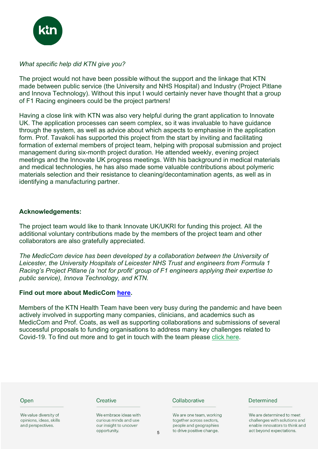

# *What specific help did KTN give you?*

The project would not have been possible without the support and the linkage that KTN made between public service (the University and NHS Hospital) and Industry (Project Pitlane and Innova Technology). Without this input I would certainly never have thought that a group of F1 Racing engineers could be the project partners!

Having a close link with KTN was also very helpful during the grant application to Innovate UK. The application processes can seem complex, so it was invaluable to have guidance through the system, as well as advice about which aspects to emphasise in the application form. Prof. Tavakoli has supported this project from the start by inviting and facilitating formation of external members of project team, helping with proposal submission and project management during six-month project duration. He attended weekly, evening project meetings and the Innovate UK progress meetings. With his background in medical materials and medical technologies, he has also made some valuable contributions about polymeric materials selection and their resistance to cleaning/decontamination agents, as well as in identifying a manufacturing partner.

# **Acknowledgements:**

The project team would like to thank Innovate UK/UKRI for funding this project. All the additional voluntary contributions made by the members of the project team and other collaborators are also gratefully appreciated.

*The MedicCom device has been developed by a collaboration between the University of Leicester, the University Hospitals of Leicester NHS Trust and engineers from Formula 1 Racing's Project Pitlane (a 'not for profit' group of F1 engineers applying their expertise to public service), Innova Technology, and KTN.*

## **Find out more about MedicCom here.**

Members of the KTN Health Team have been very busy during the pandemic and have been actively involved in supporting many companies, clinicians, and academics such as MedicCom and Prof. Coats, as well as supporting collaborations and submissions of several successful proposals to funding organisations to address many key challenges related to Covid-19. To find out more and to get in touch with the team please click here.

| Open                                                                  | Creative                                                                                 |   | Collaborative                                                                                               | Determined                                                                                                               |
|-----------------------------------------------------------------------|------------------------------------------------------------------------------------------|---|-------------------------------------------------------------------------------------------------------------|--------------------------------------------------------------------------------------------------------------------------|
| We value diversity of<br>opinions, ideas, skills<br>and perspectives. | We embrace ideas with<br>curious minds and use<br>our insight to uncover<br>opportunity. | 5 | We are one team, working<br>together across sectors,<br>people and geographies<br>to drive positive change. | We are determined to meet<br>challenges with solutions and<br>enable innovators to think and<br>act beyond expectations. |